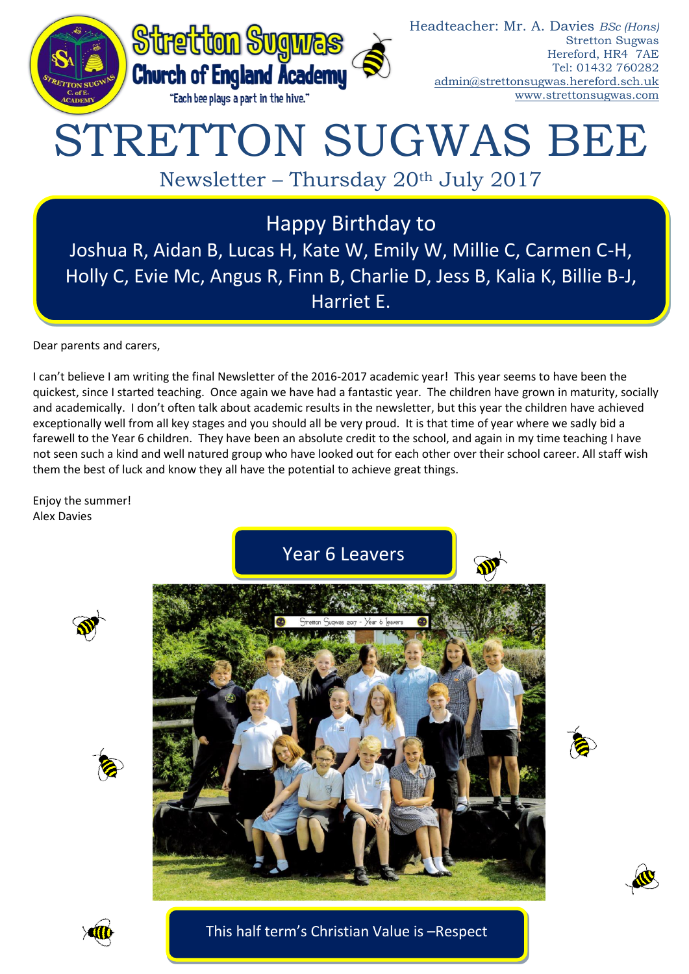

Headteacher: Mr. A. Davies *BSc (Hons)* Stretton Sugwas Hereford, HR4 7AE Tel: 01432 760282 [admin@strettonsugwas.hereford.sch.uk](mailto:admin@strettonsugwas.hereford.sch.uk) www.strettonsugwas.com

# STRETTON SUGWAS BEE

Newsletter – Thursday 20th July 2017

Happy Birthday to Joshua R, Aidan B, Lucas H, Kate W, Emily W, Millie C, Carmen C-H, Holly C, Evie Mc, Angus R, Finn B, Charlie D, Jess B, Kalia K, Billie B-J, Harriet E.

Dear parents and carers,

I can't believe I am writing the final Newsletter of the 2016-2017 academic year! This year seems to have been the quickest, since I started teaching. Once again we have had a fantastic year. The children have grown in maturity, socially and academically. I don't often talk about academic results in the newsletter, but this year the children have achieved exceptionally well from all key stages and you should all be very proud. It is that time of year where we sadly bid a farewell to the Year 6 children. They have been an absolute credit to the school, and again in my time teaching I have not seen such a kind and well natured group who have looked out for each other over their school career. All staff wish them the best of luck and know they all have the potential to achieve great things.

Enjoy the summer! Alex Davies









### This half term's Christian Value is –Respect